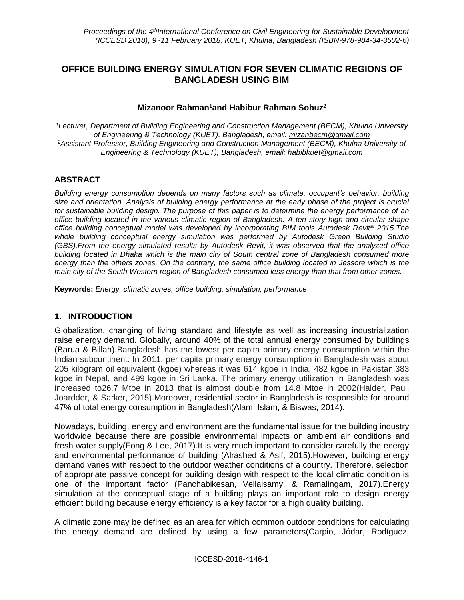## **OFFICE BUILDING ENERGY SIMULATION FOR SEVEN CLIMATIC REGIONS OF BANGLADESH USING BIM**

#### **Mizanoor Rahman<sup>1</sup>and Habibur Rahman Sobuz<sup>2</sup>**

*<sup>1</sup>Lecturer, Department of Building Engineering and Construction Management (BECM), Khulna University of Engineering & Technology (KUET), Bangladesh, email: [mizanbecm@gmail.com](mailto:mizanbecm@gmail.com) <sup>2</sup>Assistant Professor, Building Engineering and Construction Management (BECM), Khulna University of Engineering & Technology (KUET), Bangladesh, email: [habibkuet@gmail.com](mailto:habibkuet@gmail.com)*

#### **ABSTRACT**

*Building energy consumption depends on many factors such as climate, occupant's behavior, building size and orientation. Analysis of building energy performance at the early phase of the project is crucial for sustainable building design. The purpose of this paper is to determine the energy performance of an office building located in the various climatic region of Bangladesh. A ten story high and circular shape office building conceptual model was developed by incorporating BIM tools Autodesk Revit® 2015.The whole building conceptual energy simulation was performed by Autodesk Green Building Studio (GBS).From the energy simulated results by Autodesk Revit, it was observed that the analyzed office building located in Dhaka which is the main city of South central zone of Bangladesh consumed more energy than the others zones. On the contrary, the same office building located in Jessore which is the main city of the South Western region of Bangladesh consumed less energy than that from other zones.*

**Keywords:** *Energy, climatic zones, office building, simulation, performance*

#### **1. INTRODUCTION**

Globalization, changing of living standard and lifestyle as well as increasing industrialization raise energy demand. Globally, around 40% of the total annual energy consumed by buildings [\(Barua & Billah\)](#page-8-0).Bangladesh has the lowest per capita primary energy consumption within the Indian subcontinent. In 2011, per capita primary energy consumption in Bangladesh was about 205 kilogram oil equivalent (kgoe) whereas it was 614 kgoe in India, 482 kgoe in Pakistan,383 kgoe in Nepal, and 499 kgoe in Sri Lanka. The primary energy utilization in Bangladesh was increased to26.7 Mtoe in 2013 that is almost double from 14.8 Mtoe in 2002[\(Halder, Paul,](#page-8-1)  [Joardder, & Sarker, 2015\)](#page-8-1).Moreover, residential sector in Bangladesh is responsible for around 47% of total energy consumption in Bangladesh[\(Alam, Islam, & Biswas, 2014\)](#page-7-0).

Nowadays, building, energy and environment are the fundamental issue for the building industry worldwide because there are possible environmental impacts on ambient air conditions and fresh water supply[\(Fong & Lee, 2017\)](#page-8-2).It is very much important to consider carefully the energy and environmental performance of building [\(Alrashed & Asif, 2015\)](#page-8-3).However, building energy demand varies with respect to the outdoor weather conditions of a country. Therefore, selection of appropriate passive concept for building design with respect to the local climatic condition is one of the important factor [\(Panchabikesan, Vellaisamy, & Ramalingam, 2017\)](#page-8-4).Energy simulation at the conceptual stage of a building plays an important role to design energy efficient building because energy efficiency is a key factor for a high quality building.

A climatic zone may be defined as an area for which common outdoor conditions for calculating the energy demand are defined by using a few parameters[\(Carpio, Jódar, Rodíguez,](#page-8-5)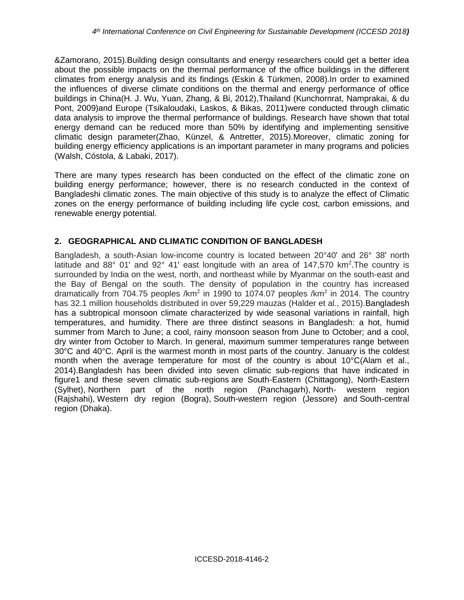[&Zamorano, 2015\)](#page-8-5).Building design consultants and energy researchers could get a better idea about the possible impacts on the thermal performance of the office buildings in the different climates from energy analysis and its findings [\(Eskin & Türkmen, 2008\)](#page-8-6).In order to examined the influences of diverse climate conditions on the thermal and energy performance of office buildings in China(H. J. Wu, [Yuan, Zhang, & Bi, 2012\)](#page-8-7),Thailand [\(Kunchornrat, Namprakai, & du](#page-8-8)  [Pont, 2009\)](#page-8-8)and Europe [\(Tsikaloudaki, Laskos, & Bikas, 2011\)](#page-8-9)were conducted through climatic data analysis to improve the thermal performance of buildings. Research have shown that total energy demand can be reduced more than 50% by identifying and implementing sensitive climatic design parameter[\(Zhao, Künzel, & Antretter, 2015\)](#page-8-10).Moreover, climatic zoning for building energy efficiency applications is an important parameter in many programs and policies [\(Walsh, Cóstola, & Labaki, 2017\)](#page-8-11).

There are many types research has been conducted on the effect of the climatic zone on building energy performance; however, there is no research conducted in the context of Bangladeshi climatic zones. The main objective of this study is to analyze the effect of Climatic zones on the energy performance of building including life cycle cost, carbon emissions, and renewable energy potential.

## **2. GEOGRAPHICAL AND CLIMATIC CONDITION OF BANGLADESH**

Bangladesh, a south-Asian low-income country is located between 20°40ʹ and 26° 38ʹ north latitude and 88 $^{\circ}$  01' and 92 $^{\circ}$  41' east longitude with an area of 147,570 km<sup>2</sup>. The country is surrounded by India on the west, north, and northeast while by Myanmar on the south-east and the Bay of Bengal on the south. The density of population in the country has increased dramatically from 704.75 peoples /km<sup>2</sup> in 1990 to 1074.07 peoples /km<sup>2</sup> in 2014. The country has 32.1 million households distributed in over 59,229 mauzas [\(Halder et al., 2015\)](#page-8-1).Bangladesh has a subtropical monsoon climate characterized by wide seasonal variations in rainfall, high temperatures, and humidity. There are three distinct seasons in Bangladesh: a hot, humid summer from March to June; a cool, rainy monsoon season from June to October; and a cool, dry winter from October to March. In general, maximum summer temperatures range between 30°C and 40°C. April is the warmest month in most parts of the country. January is the coldest month when the average temperature for most of the country is about 10°C[\(Alam et al.,](#page-7-0)  [2014\)](#page-7-0).Bangladesh has been divided into seven climatic sub-regions that have indicated in figure1 and these seven climatic sub-regions are South-Eastern (Chittagong), North-Eastern (Sylhet), Northern part of the north region (Panchagarh), North- western region (Rajshahi), Western dry region (Bogra), South-western region (Jessore) and South-central region (Dhaka).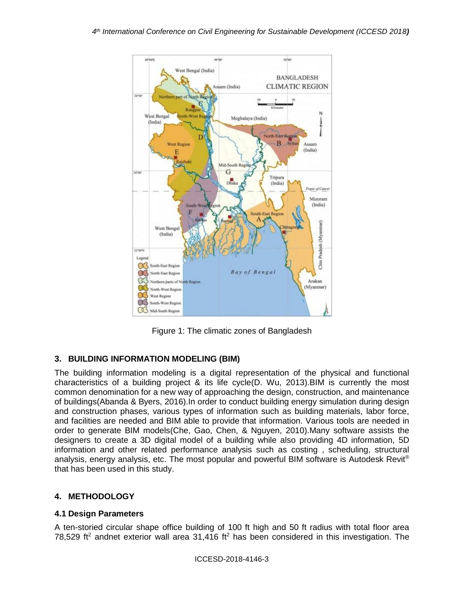

Figure 1: The climatic zones of Bangladesh

# **3. BUILDING INFORMATION MODELING (BIM)**

The building information modeling is a digital representation of the physical and functional characteristics of a building project & its life cycle[\(D. Wu, 2013\)](#page-8-12).BIM is currently the most common denomination for a new way of approaching the design, construction, and maintenance of buildings[\(Abanda & Byers, 2016\)](#page-7-1).In order to conduct building energy simulation during design and construction phases, various types of information such as building materials, labor force, and facilities are needed and BIM able to provide that information. Various tools are needed in order to generate BIM models[\(Che, Gao, Chen, & Nguyen, 2010\)](#page-8-13).Many software assists the designers to create a 3D digital model of a building while also providing 4D information, 5D information and other related performance analysis such as costing , scheduling, structural analysis, energy analysis, etc. The most popular and powerful BIM software is Autodesk Revit® that has been used in this study.

## **4. METHODOLOGY**

#### **4.1 Design Parameters**

A ten-storied circular shape office building of 100 ft high and 50 ft radius with total floor area 78,529 ft<sup>2</sup> andnet exterior wall area 31,416 ft<sup>2</sup> has been considered in this investigation. The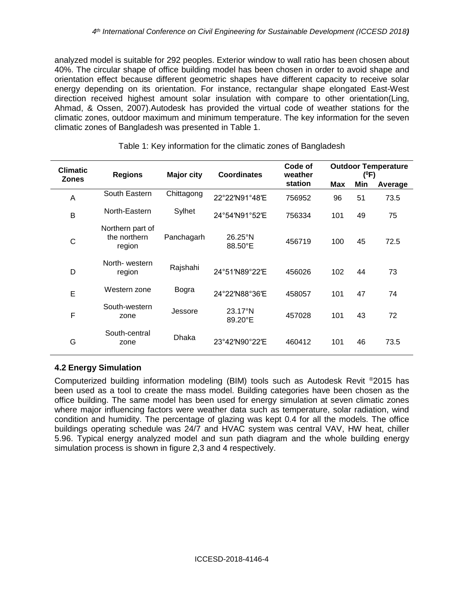analyzed model is suitable for 292 peoples. Exterior window to wall ratio has been chosen about 40%. The circular shape of office building model has been chosen in order to avoid shape and orientation effect because different geometric shapes have different capacity to receive solar energy depending on its orientation. For instance, rectangular shape elongated East-West direction received highest amount solar insulation with compare to other orientation[\(Ling,](#page-8-14)  [Ahmad, & Ossen, 2007\)](#page-8-14).Autodesk has provided the virtual code of weather stations for the climatic zones, outdoor maximum and minimum temperature. The key information for the seven climatic zones of Bangladesh was presented in Table 1.

| <b>Climatic</b><br><b>Zones</b> | <b>Regions</b>                             | <b>Major city</b> | <b>Coordinates</b>           | Code of<br>weather | <b>Outdoor Temperature</b><br>$(^0F)$ |     |         |
|---------------------------------|--------------------------------------------|-------------------|------------------------------|--------------------|---------------------------------------|-----|---------|
|                                 |                                            |                   |                              | station            | Max                                   | Min | Average |
| A                               | South Eastern                              | Chittagong        | 22°22'N91°48'E               | 756952             | 96                                    | 51  | 73.5    |
| B                               | North-Eastern                              | Sylhet            | 24°54'N91°52'E               | 756334             | 101                                   | 49  | 75      |
| C                               | Northern part of<br>the northern<br>region | Panchagarh        | $26.25^{\circ}$ N<br>88.50°E | 456719             | 100                                   | 45  | 72.5    |
| D                               | North-western<br>region                    | Rajshahi          | 24°51'N89°22'E               | 456026             | 102                                   | 44  | 73      |
| E                               | Western zone                               | Bogra             | 24°22'N88°36'E               | 458057             | 101                                   | 47  | 74      |
| F                               | South-western<br>zone                      | Jessore           | $23.17^{\circ}N$<br>89.20°E  | 457028             | 101                                   | 43  | 72      |
| G                               | South-central<br>zone                      | <b>Dhaka</b>      | 23°42'N90°22'E               | 460412             | 101                                   | 46  | 73.5    |

#### Table 1: Key information for the climatic zones of Bangladesh

#### **4.2 Energy Simulation**

Computerized building information modeling (BIM) tools such as Autodesk Revit ®2015 has been used as a tool to create the mass model. Building categories have been chosen as the office building. The same model has been used for energy simulation at seven climatic zones where major influencing factors were weather data such as temperature, solar radiation, wind condition and humidity. The percentage of glazing was kept 0.4 for all the models. The office buildings operating schedule was 24/7 and HVAC system was central VAV, HW heat, chiller 5.96. Typical energy analyzed model and sun path diagram and the whole building energy simulation process is shown in figure 2,3 and 4 respectively.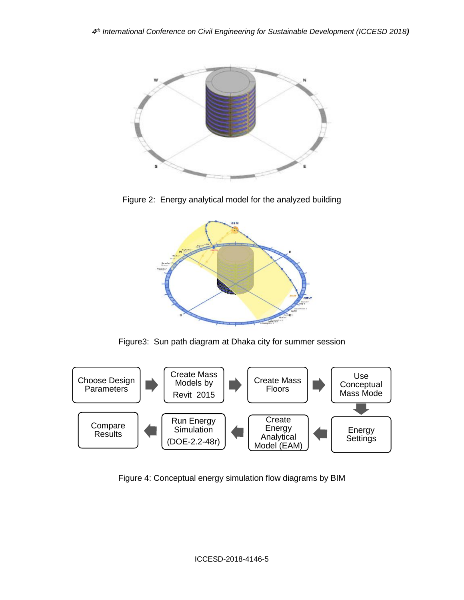

Figure 2: Energy analytical model for the analyzed building



Figure3: Sun path diagram at Dhaka city for summer session



Figure 4: Conceptual energy simulation flow diagrams by BIM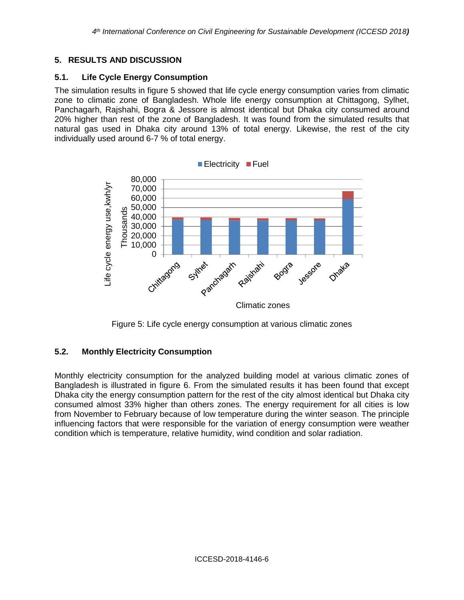## **5. RESULTS AND DISCUSSION**

### **5.1. Life Cycle Energy Consumption**

The simulation results in figure 5 showed that life cycle energy consumption varies from climatic zone to climatic zone of Bangladesh. Whole life energy consumption at Chittagong, Sylhet, Panchagarh, Rajshahi, Bogra & Jessore is almost identical but Dhaka city consumed around 20% higher than rest of the zone of Bangladesh. It was found from the simulated results that natural gas used in Dhaka city around 13% of total energy. Likewise, the rest of the city individually used around 6-7 % of total energy.





## **5.2. Monthly Electricity Consumption**

Monthly electricity consumption for the analyzed building model at various climatic zones of Bangladesh is illustrated in figure 6. From the simulated results it has been found that except Dhaka city the energy consumption pattern for the rest of the city almost identical but Dhaka city consumed almost 33% higher than others zones. The energy requirement for all cities is low from November to February because of low temperature during the winter season. The principle influencing factors that were responsible for the variation of energy consumption were weather condition which is temperature, relative humidity, wind condition and solar radiation.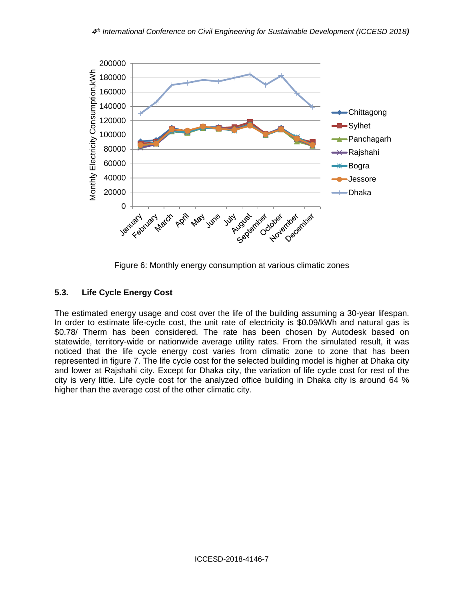

Figure 6: Monthly energy consumption at various climatic zones

# **5.3. Life Cycle Energy Cost**

The estimated energy usage and cost over the life of the building assuming a 30-year lifespan. In order to estimate life-cycle cost, the unit rate of electricity is \$0.09/kWh and natural gas is \$0.78/ Therm has been considered. The rate has been chosen by Autodesk based on statewide, territory-wide or nationwide average utility rates. From the simulated result, it was noticed that the life cycle energy cost varies from climatic zone to zone that has been represented in figure 7. The life cycle cost for the selected building model is higher at Dhaka city and lower at Rajshahi city. Except for Dhaka city, the variation of life cycle cost for rest of the city is very little. Life cycle cost for the analyzed office building in Dhaka city is around 64 % higher than the average cost of the other climatic city.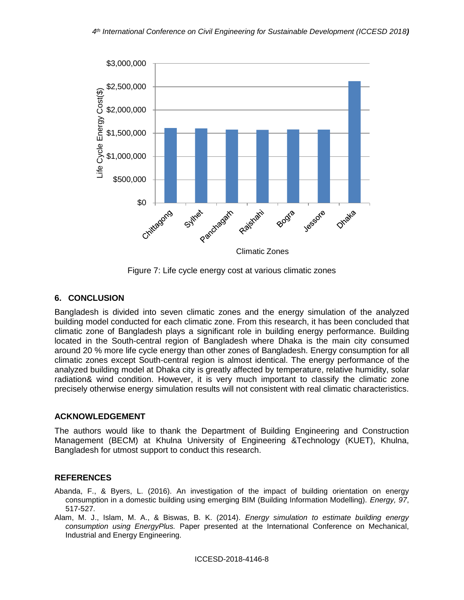

Figure 7: Life cycle energy cost at various climatic zones

## **6. CONCLUSION**

Bangladesh is divided into seven climatic zones and the energy simulation of the analyzed building model conducted for each climatic zone. From this research, it has been concluded that climatic zone of Bangladesh plays a significant role in building energy performance. Building located in the South-central region of Bangladesh where Dhaka is the main city consumed around 20 % more life cycle energy than other zones of Bangladesh. Energy consumption for all climatic zones except South-central region is almost identical. The energy performance of the analyzed building model at Dhaka city is greatly affected by temperature, relative humidity, solar radiation& wind condition. However, it is very much important to classify the climatic zone precisely otherwise energy simulation results will not consistent with real climatic characteristics.

## **ACKNOWLEDGEMENT**

The authors would like to thank the Department of Building Engineering and Construction Management (BECM) at Khulna University of Engineering &Technology (KUET), Khulna, Bangladesh for utmost support to conduct this research.

## **REFERENCES**

- <span id="page-7-1"></span>Abanda, F., & Byers, L. (2016). An investigation of the impact of building orientation on energy consumption in a domestic building using emerging BIM (Building Information Modelling). *Energy, 97*, 517-527.
- <span id="page-7-0"></span>Alam, M. J., Islam, M. A., & Biswas, B. K. (2014). *Energy simulation to estimate building energy consumption using EnergyPlus.* Paper presented at the International Conference on Mechanical, Industrial and Energy Engineering.